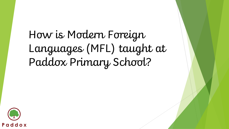# How is Modern Foreign Languages (MFL) taught at Paddox Primary School?

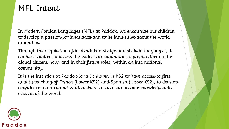### MFL Intent

In Modern Foreign Languages (MFL) at Paddox, we encourage our children to develop a passion for languages and to be inquisitive about the world around us.

Through the acquisition of in-depth knowledge and skills in languages, it enables children to access the wider curriculum and to prepare them to be global citizens now, and in their future roles, within an international community.

It is the intention at Paddox for all children in KS2 to have access to first quality teaching of French (Lower KS2) and Spanish (Upper KS2), to develop confidence in oracy and written skills so each can become knowledgeable citizens of the world.

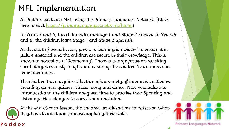## MFL Implementation

At Paddox we teach MFL using the Primary Languages Network. (Click here to visit [https://primarylanguages.network/home\)](https://primarylanguages.network/home)

In Years 3 and 4, the children learn Stage 1 and Stage 2 French. In Years 5 and 6, the children learn Stage 1 and Stage 2 Spanish.

At the start of every lesson, previous learning is revisited to ensure it is fully embedded and the children are secure in their knowledge. This is known in school as a 'Boomerang'. There is a large focus on revisiting vocabulary previously taught and ensuring the children 'learn more and remember more'.

The children then acquire skills through a variety of interactive activities, including games, quizzes, videos, song and dance. New vocabulary is introduced and the children are given time to practise their Speaking and Listening skills along with correct pronunciation.



At the end of each lesson, the children are given time to reflect on what they have learned and practise applying their skills.

Primary Languages Network

### Paddox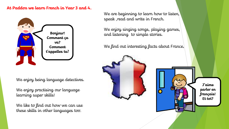#### **At Paddox we learn French in Year 3 and 4.**



We enjoy being language detectives.

We enjoy practising our language learning super skills!

We like to find out how we can use these skills in other languages too.

We are beginning to learn how to listen, speak ,read and write in French.

We enjoy singing songs, playing games, and listening to simple stories.

We find out interesting facts about France.



**J'aime parler en français! Et toi?**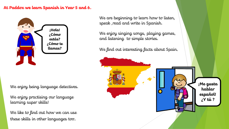#### **At Paddox we learn Spanish in Year 5 and 6.**



We enjoy being language detectives.

We enjoy practising our language learning super skills!

We like to find out how we can use these skills in other languages too.

We are beginning to learn how to listen, speak ,read and write in Spanish.

We enjoy singing songs, playing games, and listening to simple stories.

We find out interesting facts about Spain.

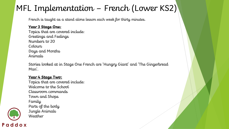# MFL Implementation – French (Lower KS2)

French is taught as a stand alone lesson each week for thirty minutes.

#### **Year 3 Stage One:**

Topics that are covered include: Greetings and Feelings Numbers to 20 Colours Days and Months Animals

Stories looked at in Stage One French are 'Hungry Giant' and 'The Gingerbread Man'.

#### **Year 4 Stage Two:**

Topics that are covered include: Welcome to the School Classroom commands Town and Shops Family Parts of the body Jungle Animals **Weather** 



Paddox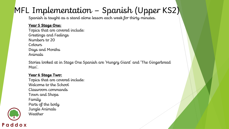### MFL Implementation – Spanish (Upper KS2)

Spanish is taught as a stand alone lesson each week for thirty minutes.

#### **Year 5 Stage One:**

Topics that are covered include: Greetings and Feelings Numbers to 20 Colours Days and Months Animals

Stories looked at in Stage One Spanish are 'Hungry Giant' and 'The Gingerbread Man'.

#### **Year 6 Stage Two:**

Topics that are covered include: Welcome to the School Classroom commands Town and Shops Family Parts of the body Jungle Animals Weather

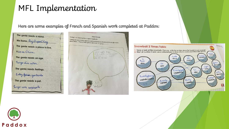### MFL Implementation

Here are some examples of French and Spanish work completed at Paddox:

The genie needs a name. Today I am learning how to greet my friends<br>Today we were rooted my friends **Class Portraits** Me Hamo...Raj.DuperChing......... Today we were roving reporters and interviewed our friends to find out information<br>about them. This is what I found out about  $\mathcal{L}$  is independent them. codig we were roving reporters and interviewed our fries about them. This is what I found out about  $\mathbb{A}$  years The genie needs a place to live. **Snowball 2 Times Table** 1. Take a look at the snowballs. Can you write the number above the Spanish in each snowball? Vivo en China. 2. Start at number 2 and use a coloured pen to draw a line to create your 2 times table up to 30 Je m'applie Aijay O is hoteles - to ? Hillmerton compare Ca va indicate The genie needs an age. ca va to tien gair doce cuatro Tengo dies sãos. tuo dos  $50x$ seis The genie needs feelings. twentypig veintiocho Estay Salis gontents twentygaw veinticuatro thirty twenty The genie needs a pet. treinta veinte Tengo una serpiente.

Astrong

ranter catorce

twentysis

veintiseis

haridal

diecioch

resteer

dieciséis

tweetington<br>veintidos

ter

diez

فطهره

ocho